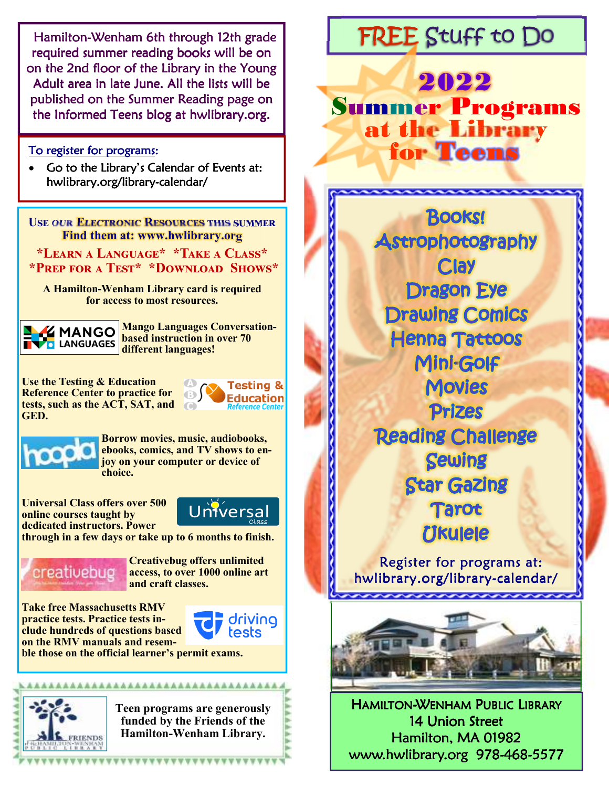**Hamilton-Wenham 6th through 12th grade** required summer reading books will be on on the 2nd floor of the Library in the Young Adult area in late June. All the lists will be published on the Summer Reading page on the Informed Teens blog at hwlibrary.org.

To register for programs:

 Go to the Library's Calendar of Events at: hwlibrary.org/library-calendar/

USE OUR ELECTRONIC RESOURCES THIS SUMMER **Find them at: www.hwlibrary.org**

\*LEARN A LANGUAGE\* \*TAKE A CLASS\* \*PREP FOR A TEST\* \*DOWNLOAD SHOWS\*

**A Hamilton-Wenham Library card is required for access to most resources.** 

**MANGO TVO** LANGUAGES

**Mango Languages Conversationbased instruction in over 70 different languages!** 

A

**Use the Testing & Education Reference Center to practice for tests, such as the ACT, SAT, and GED.** 

**Testing &**  $\bigoplus$ **Education** 



**Borrow movies, music, audiobooks, ebooks, comics, and TV shows to enjoy on your computer or device of choice.** 

**Universal Class offers over 500 online courses taught by dedicated instructors. Power** 



**through in a few days or take up to 6 months to finish.** 



**Creativebug offers unlimited access, to over 1000 online art and craft classes.** 

**Take free Massachusetts RMV practice tests. Practice tests include hundreds of questions based on the RMV manuals and resem-**



**ble those on the official learner's permit exams.** 



**Teen programs are generously funded by the Friends of the Hamilton-Wenham Library.** 

# FREE Stuff to Do

2022 Summer Programs at the Library for Teens

> **Books!** Astrophotography **Clay Dragon Eye Drawing Comics Henna Tattoos** Mini-Golf **Movies Prizes Reading Challenge Sewing Star Gazing Tarot Ukulele** Register for programs at: hwlibrary.org/library-calendar/ naanaanaanaana

HAMILTON-WENHAM PUBLIC LIBRARY 14 Union Street Hamilton, MA 01982 www.hwlibrary.org 978-468-5577